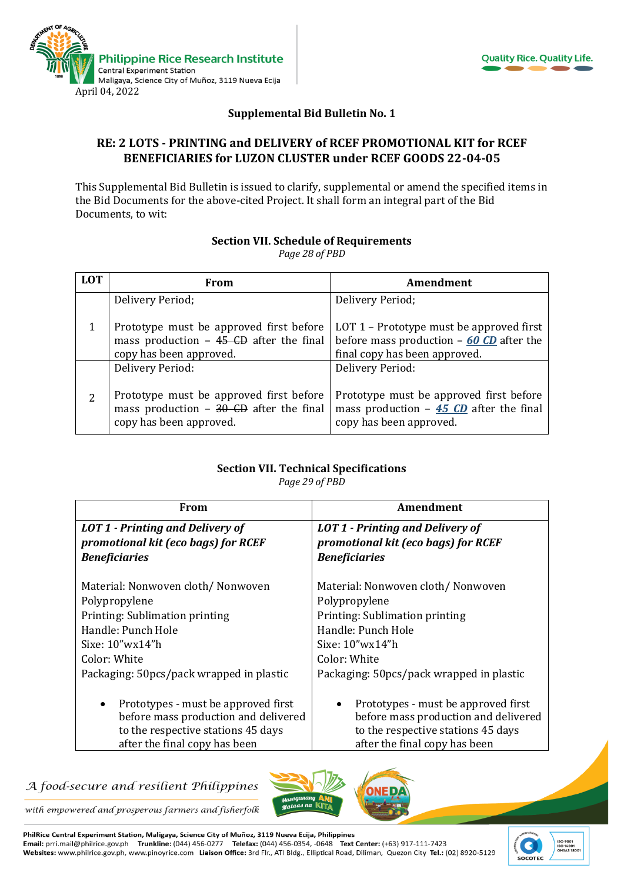



### **Supplemental Bid Bulletin No. 1**

### **RE: 2 LOTS - PRINTING and DELIVERY of RCEF PROMOTIONAL KIT for RCEF BENEFICIARIES for LUZON CLUSTER under RCEF GOODS 22-04-05**

This Supplemental Bid Bulletin is issued to clarify, supplemental or amend the specified items in the Bid Documents for the above-cited Project. It shall form an integral part of the Bid Documents, to wit:

#### **Section VII. Schedule of Requirements**

*Page 28 of PBD*

| <b>LOT</b> | From                                                                                                           | Amendment                                                                                                              |
|------------|----------------------------------------------------------------------------------------------------------------|------------------------------------------------------------------------------------------------------------------------|
|            | Delivery Period;                                                                                               | Delivery Period;                                                                                                       |
|            | Prototype must be approved first before<br>mass production $-45$ CD after the final<br>copy has been approved. | LOT 1 – Prototype must be approved first<br>before mass production $-60$ CD after the<br>final copy has been approved. |
|            | Delivery Period:                                                                                               | Delivery Period:                                                                                                       |
| 2          | Prototype must be approved first before<br>mass production $-30$ CD after the final<br>copy has been approved. | Prototype must be approved first before<br>mass production $-45$ CD after the final<br>copy has been approved.         |

# **Section VII. Technical Specifications**

*Page 29 of PBD*

| From                                             | Amendment                                        |  |
|--------------------------------------------------|--------------------------------------------------|--|
| <b>LOT 1 - Printing and Delivery of</b>          | <b>LOT 1 - Printing and Delivery of</b>          |  |
| promotional kit (eco bags) for RCEF              | promotional kit (eco bags) for RCEF              |  |
| <b>Beneficiaries</b>                             | <b>Beneficiaries</b>                             |  |
|                                                  |                                                  |  |
| Material: Nonwoven cloth/Nonwoven                | Material: Nonwoven cloth/Nonwoven                |  |
| Polypropylene                                    | Polypropylene                                    |  |
| Printing: Sublimation printing                   | Printing: Sublimation printing                   |  |
| Handle: Punch Hole                               | Handle: Punch Hole                               |  |
| Sixe: $10''wx14''h$                              | Sixe: $10''wx14''h$                              |  |
| Color: White                                     | Color: White                                     |  |
| Packaging: 50pcs/pack wrapped in plastic         | Packaging: 50pcs/pack wrapped in plastic         |  |
|                                                  |                                                  |  |
| Prototypes - must be approved first<br>$\bullet$ | Prototypes - must be approved first<br>$\bullet$ |  |
| before mass production and delivered             | before mass production and delivered             |  |
| to the respective stations 45 days               | to the respective stations 45 days               |  |
| after the final copy has been                    | after the final copy has been                    |  |

# A food-secure and resilient Philippines



with empowered and prosperous farmers and fisherfolk

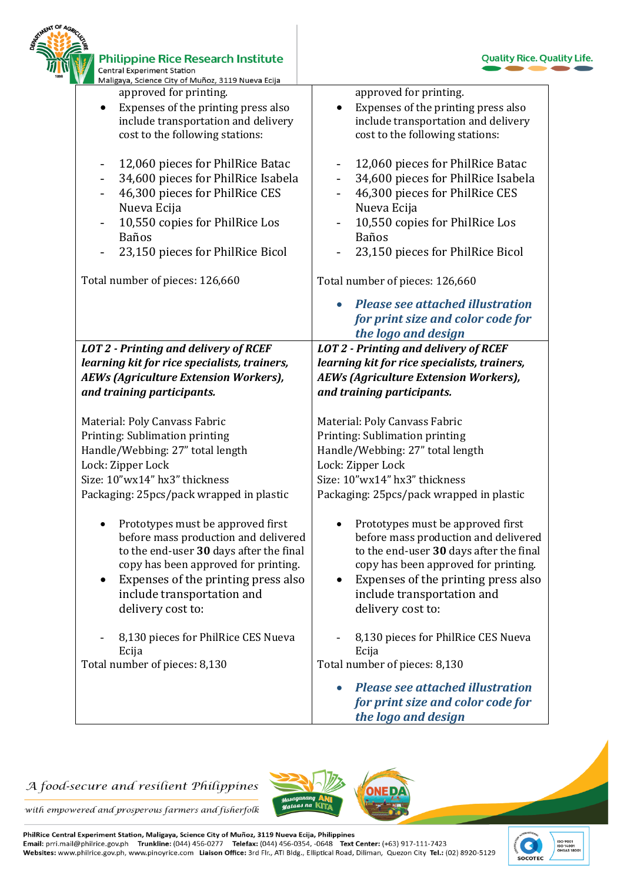| <b>Philippine Rice Research Institute</b><br><b>Central Experiment Station</b><br>Maligaya, Science City of Muñoz, 3119 Nueva Ecija                                                                                                                                              | <b>Quality Rice. Quality Life.</b>                                                                                                                                                                                                                                  |
|----------------------------------------------------------------------------------------------------------------------------------------------------------------------------------------------------------------------------------------------------------------------------------|---------------------------------------------------------------------------------------------------------------------------------------------------------------------------------------------------------------------------------------------------------------------|
| approved for printing.                                                                                                                                                                                                                                                           | approved for printing.                                                                                                                                                                                                                                              |
| Expenses of the printing press also<br>include transportation and delivery<br>cost to the following stations:                                                                                                                                                                    | Expenses of the printing press also<br>include transportation and delivery<br>cost to the following stations:                                                                                                                                                       |
| 12,060 pieces for PhilRice Batac                                                                                                                                                                                                                                                 | 12,060 pieces for PhilRice Batac                                                                                                                                                                                                                                    |
| 34,600 pieces for PhilRice Isabela<br>46,300 pieces for PhilRice CES                                                                                                                                                                                                             | 34,600 pieces for PhilRice Isabela<br>46,300 pieces for PhilRice CES                                                                                                                                                                                                |
| Nueva Ecija<br>10,550 copies for PhilRice Los                                                                                                                                                                                                                                    | Nueva Ecija<br>10,550 copies for PhilRice Los                                                                                                                                                                                                                       |
| <b>Baños</b><br>23,150 pieces for PhilRice Bicol                                                                                                                                                                                                                                 | Baños<br>23,150 pieces for PhilRice Bicol                                                                                                                                                                                                                           |
| Total number of pieces: 126,660                                                                                                                                                                                                                                                  | Total number of pieces: 126,660                                                                                                                                                                                                                                     |
|                                                                                                                                                                                                                                                                                  | <b>Please see attached illustration</b>                                                                                                                                                                                                                             |
|                                                                                                                                                                                                                                                                                  | for print size and color code for<br>the logo and design                                                                                                                                                                                                            |
| <b>LOT 2 - Printing and delivery of RCEF</b><br>learning kit for rice specialists, trainers,<br>AEWs (Agriculture Extension Workers),<br>and training participants.                                                                                                              | <b>LOT 2 - Printing and delivery of RCEF</b><br>learning kit for rice specialists, trainers,<br><b>AEWs (Agriculture Extension Workers),</b><br>and training participants.                                                                                          |
| Material: Poly Canvass Fabric                                                                                                                                                                                                                                                    | Material: Poly Canvass Fabric                                                                                                                                                                                                                                       |
| Printing: Sublimation printing                                                                                                                                                                                                                                                   | Printing: Sublimation printing                                                                                                                                                                                                                                      |
| Handle/Webbing: 27" total length                                                                                                                                                                                                                                                 | Handle/Webbing: 27" total length                                                                                                                                                                                                                                    |
| Lock: Zipper Lock                                                                                                                                                                                                                                                                | Lock: Zipper Lock                                                                                                                                                                                                                                                   |
| Size: 10"wx14" hx3" thickness                                                                                                                                                                                                                                                    | Size: 10"wx14" hx3" thickness                                                                                                                                                                                                                                       |
| Packaging: 25pcs/pack wrapped in plastic                                                                                                                                                                                                                                         | Packaging: 25pcs/pack wrapped in plastic                                                                                                                                                                                                                            |
| Prototypes must be approved first<br>$\bullet$<br>before mass production and delivered<br>to the end-user 30 days after the final<br>copy has been approved for printing.<br>Expenses of the printing press also<br>$\bullet$<br>include transportation and<br>delivery cost to: | Prototypes must be approved first<br>$\bullet$<br>before mass production and delivered<br>to the end-user 30 days after the final<br>copy has been approved for printing.<br>Expenses of the printing press also<br>include transportation and<br>delivery cost to: |
| 8,130 pieces for PhilRice CES Nueva<br>Ecija                                                                                                                                                                                                                                     | 8,130 pieces for PhilRice CES Nueva<br>Ecija                                                                                                                                                                                                                        |
| Total number of pieces: 8,130                                                                                                                                                                                                                                                    | Total number of pieces: 8,130                                                                                                                                                                                                                                       |
|                                                                                                                                                                                                                                                                                  | <b>Please see attached illustration</b><br>for print size and color code for<br>the logo and design                                                                                                                                                                 |

# A food-secure and resilient Philippines



with empowered and prosperous farmers and fisherfolk

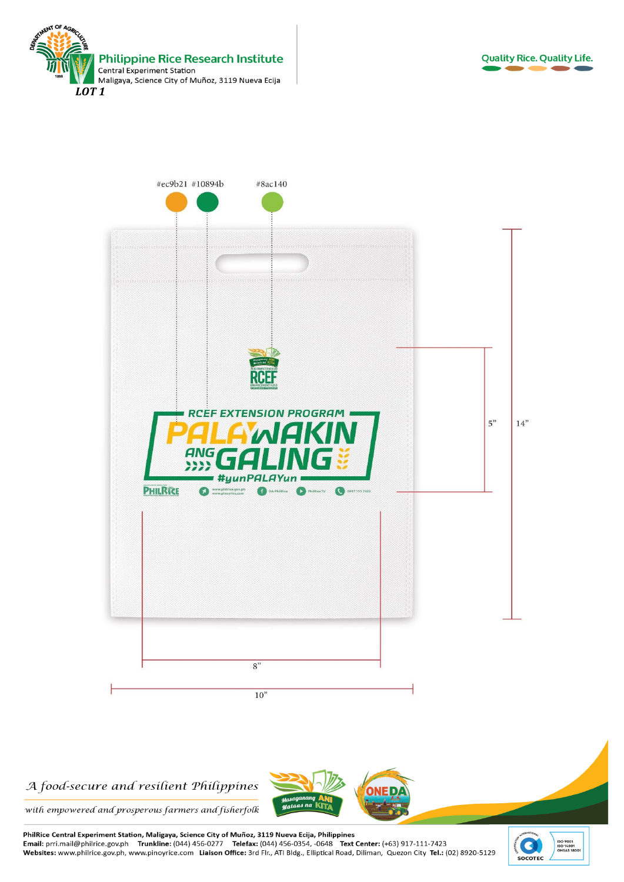





### A food-secure and resilient Philippines



with empowered and prosperous farmers and fisherfolk